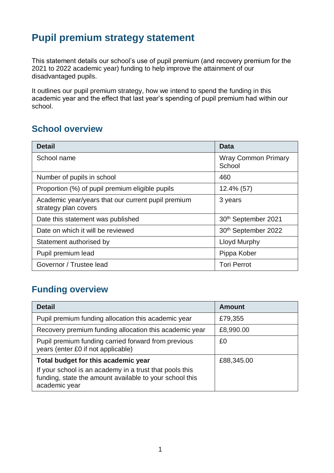# **Pupil premium strategy statement**

This statement details our school's use of pupil premium (and recovery premium for the 2021 to 2022 academic year) funding to help improve the attainment of our disadvantaged pupils.

It outlines our pupil premium strategy, how we intend to spend the funding in this academic year and the effect that last year's spending of pupil premium had within our school.

#### **School overview**

| <b>Detail</b>                                                              | Data                                 |
|----------------------------------------------------------------------------|--------------------------------------|
| School name                                                                | <b>Wray Common Primary</b><br>School |
| Number of pupils in school                                                 | 460                                  |
| Proportion (%) of pupil premium eligible pupils                            | 12.4% (57)                           |
| Academic year/years that our current pupil premium<br>strategy plan covers | 3 years                              |
| Date this statement was published                                          | 30th September 2021                  |
| Date on which it will be reviewed                                          | 30th September 2022                  |
| Statement authorised by                                                    | <b>Lloyd Murphy</b>                  |
| Pupil premium lead                                                         | Pippa Kober                          |
| Governor / Trustee lead                                                    | <b>Tori Perrot</b>                   |

### **Funding overview**

| <b>Detail</b>                                                                                                                       | <b>Amount</b> |
|-------------------------------------------------------------------------------------------------------------------------------------|---------------|
| Pupil premium funding allocation this academic year                                                                                 | £79,355       |
| Recovery premium funding allocation this academic year                                                                              | £8,990.00     |
| Pupil premium funding carried forward from previous<br>years (enter £0 if not applicable)                                           | £0            |
| Total budget for this academic year                                                                                                 | £88,345.00    |
| If your school is an academy in a trust that pools this<br>funding, state the amount available to your school this<br>academic year |               |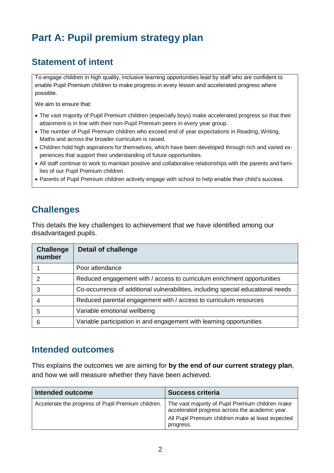# **Part A: Pupil premium strategy plan**

### **Statement of intent**

To engage children in high quality, inclusive learning opportunities lead by staff who are confident to enable Pupil Premium children to make progress in every lesson and accelerated progress where possible.

We aim to ensure that:

- The vast majority of Pupil Premium children (especially boys) make accelerated progress so that their attainment is in line with their non-Pupil Premium peers in every year group.
- The number of Pupil Premium children who exceed end of year expectations in Reading, Writing, Maths and across the broader curriculum is raised.
- Children hold high aspirations for themselves, which have been developed through rich and varied experiences that support their understanding of future opportunities.
- All staff continue to work to maintain positive and collaborative relationships with the parents and families of our Pupil Premium children.
- Parents of Pupil Premium children actively engage with school to help enable their child's success.

### **Challenges**

This details the key challenges to achievement that we have identified among our disadvantaged pupils.

| <b>Challenge</b><br>number | <b>Detail of challenge</b>                                                       |
|----------------------------|----------------------------------------------------------------------------------|
|                            | Poor attendance                                                                  |
| 2                          | Reduced engagement with / access to curriculum enrichment opportunities          |
| 3                          | Co-occurrence of additional vulnerabilities, including special educational needs |
|                            | Reduced parental engagement with / access to curriculum resources                |
| 5                          | Variable emotional wellbeing                                                     |
| 6                          | Variable participation in and engagement with learning opportunities             |

#### **Intended outcomes**

This explains the outcomes we are aiming for **by the end of our current strategy plan**, and how we will measure whether they have been achieved.

| Intended outcome                                   | <b>Success criteria</b>                                                                                                                                              |
|----------------------------------------------------|----------------------------------------------------------------------------------------------------------------------------------------------------------------------|
| Accelerate the progress of Pupil Premium children. | The vast majority of Pupil Premium children make<br>accelerated progress across the academic year.<br>All Pupil Premium children make at least expected<br>progress. |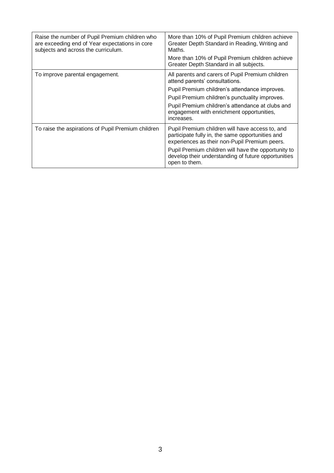| Raise the number of Pupil Premium children who<br>are exceeding end of Year expectations in core<br>subjects and across the curriculum. | More than 10% of Pupil Premium children achieve<br>Greater Depth Standard in Reading, Writing and<br>Maths.                                                                                                                                                                                          |
|-----------------------------------------------------------------------------------------------------------------------------------------|------------------------------------------------------------------------------------------------------------------------------------------------------------------------------------------------------------------------------------------------------------------------------------------------------|
|                                                                                                                                         | More than 10% of Pupil Premium children achieve<br>Greater Depth Standard in all subjects.                                                                                                                                                                                                           |
| To improve parental engagement.                                                                                                         | All parents and carers of Pupil Premium children<br>attend parents' consultations.<br>Pupil Premium children's attendance improves.<br>Pupil Premium children's punctuality improves.<br>Pupil Premium children's attendance at clubs and<br>engagement with enrichment opportunities,<br>increases. |
| To raise the aspirations of Pupil Premium children                                                                                      | Pupil Premium children will have access to, and<br>participate fully in, the same opportunities and<br>experiences as their non-Pupil Premium peers.<br>Pupil Premium children will have the opportunity to<br>develop their understanding of future opportunities<br>open to them.                  |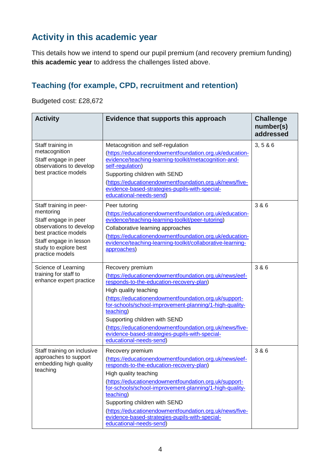### **Activity in this academic year**

This details how we intend to spend our pupil premium (and recovery premium funding) **this academic year** to address the challenges listed above.

#### **Teaching (for example, CPD, recruitment and retention)**

Budgeted cost: £28,672

| <b>Activity</b>                                                                                                                                                                       | <b>Challenge</b><br>number(s)<br>addressed                                                                                                                                                                                                                                                                                                                                                                                                                |        |
|---------------------------------------------------------------------------------------------------------------------------------------------------------------------------------------|-----------------------------------------------------------------------------------------------------------------------------------------------------------------------------------------------------------------------------------------------------------------------------------------------------------------------------------------------------------------------------------------------------------------------------------------------------------|--------|
| Staff training in<br>metacognition<br>Staff engage in peer<br>observations to develop<br>best practice models                                                                         | Metacognition and self-regulation<br>(https://educationendowmentfoundation.org.uk/education-<br>evidence/teaching-learning-toolkit/metacognition-and-<br>self-regulation)<br>Supporting children with SEND<br>(https://educationendowmentfoundation.org.uk/news/five-<br>evidence-based-strategies-pupils-with-special-<br>educational-needs-send)                                                                                                        | 3, 586 |
| Staff training in peer-<br>mentoring<br>Staff engage in peer<br>observations to develop<br>best practice models<br>Staff engage in lesson<br>study to explore best<br>practice models | Peer tutoring<br>(https://educationendowmentfoundation.org.uk/education-<br>evidence/teaching-learning-toolkit/peer-tutoring)<br>Collaborative learning approaches<br>(https://educationendowmentfoundation.org.uk/education-<br>evidence/teaching-learning-toolkit/collaborative-learning-<br>approaches)                                                                                                                                                | 3 & 6  |
| Science of Learning<br>training for staff to<br>enhance expert practice                                                                                                               | Recovery premium<br>(https://educationendowmentfoundation.org.uk/news/eef-<br>responds-to-the-education-recovery-plan)<br>High quality teaching<br>(https://educationendowmentfoundation.org.uk/support-<br>for-schools/school-improvement-planning/1-high-quality-<br>teaching)<br>Supporting children with SEND<br>(https://educationendowmentfoundation.org.uk/news/five-<br>evidence-based-strategies-pupils-with-special-<br>educational-needs-send) | 3 & 6  |
| Staff training on inclusive<br>approaches to support<br>embedding high quality<br>teaching                                                                                            | Recovery premium<br>(https://educationendowmentfoundation.org.uk/news/eef-<br>responds-to-the-education-recovery-plan)<br>High quality teaching<br>(https://educationendowmentfoundation.org.uk/support-<br>for-schools/school-improvement-planning/1-high-quality-<br>teaching)<br>Supporting children with SEND<br>(https://educationendowmentfoundation.org.uk/news/five-<br>evidence-based-strategies-pupils-with-special-<br>educational-needs-send) | 3 & 6  |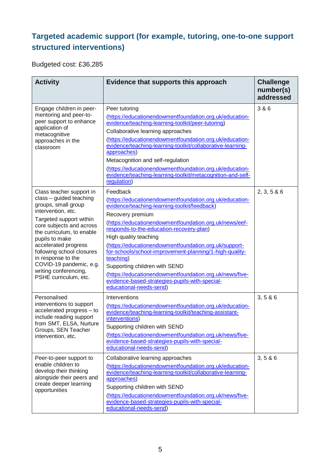#### **Targeted academic support (for example, tutoring, one-to-one support structured interventions)**

Budgeted cost: £36,285

| <b>Activity</b>                                                                                                                                                                                                                                                                                                                                                | Evidence that supports this approach<br><b>Challenge</b><br>number(s)<br>addressed                                                                                                                                                                                                                                                                                                                                                                                                                                                                                               |             |
|----------------------------------------------------------------------------------------------------------------------------------------------------------------------------------------------------------------------------------------------------------------------------------------------------------------------------------------------------------------|----------------------------------------------------------------------------------------------------------------------------------------------------------------------------------------------------------------------------------------------------------------------------------------------------------------------------------------------------------------------------------------------------------------------------------------------------------------------------------------------------------------------------------------------------------------------------------|-------------|
| Engage children in peer-<br>mentoring and peer-to-<br>peer support to enhance<br>application of<br>metacognitive<br>approaches in the<br>classroom                                                                                                                                                                                                             | Peer tutoring<br>(https://educationendowmentfoundation.org.uk/education-<br>evidence/teaching-learning-toolkit/peer-tutoring)<br>Collaborative learning approaches<br>(https://educationendowmentfoundation.org.uk/education-<br>evidence/teaching-learning-toolkit/collaborative-learning-<br>approaches)<br>Metacognition and self-regulation<br>(https://educationendowmentfoundation.org.uk/education-<br>evidence/teaching-learning-toolkit/metacognition-and-self-<br>regulation)                                                                                          | 3 & 6       |
| Class teacher support in<br>class - guided teaching<br>groups, small group<br>intervention, etc.<br>Targeted support within<br>core subjects and across<br>the curriculum, to enable<br>pupils to make<br>accelerated progress<br>following school closures<br>in response to the<br>COVID-19 pandemic, e.g.<br>writing conferencing,<br>PSHE curriculum, etc. | Feedback<br>(https://educationendowmentfoundation.org.uk/education-<br>evidence/teaching-learning-toolkit/feedback)<br>Recovery premium<br>(https://educationendowmentfoundation.org.uk/news/eef-<br>responds-to-the-education-recovery-plan)<br>High quality teaching<br>(https://educationendowmentfoundation.org.uk/support-<br>for-schools/school-improvement-planning/1-high-quality-<br>teaching)<br>Supporting children with SEND<br>(https://educationendowmentfoundation.org.uk/news/five-<br>evidence-based-strategies-pupils-with-special-<br>educational-needs-send) | 2, 3, 5 & 6 |
| Personalised<br>interventions to support<br>accelerated progress - to<br>include reading support<br>from SMT, ELSA, Nurture<br>Groups, SEN Teacher<br>intervention, etc.                                                                                                                                                                                       | Interventions<br>(https://educationendowmentfoundation.org.uk/education-<br>evidence/teaching-learning-toolkit/teaching-assistant-<br>interventions)<br>Supporting children with SEND<br>(https://educationendowmentfoundation.org.uk/news/five-<br>evidence-based-strategies-pupils-with-special-<br>educational-needs-send)                                                                                                                                                                                                                                                    | 3, 586      |
| Peer-to-peer support to<br>enable children to<br>develop their thinking<br>alongside their peers and<br>create deeper learning<br>opportunities                                                                                                                                                                                                                | Collaborative learning approaches<br>(https://educationendowmentfoundation.org.uk/education-<br>evidence/teaching-learning-toolkit/collaborative-learning-<br>approaches)<br>Supporting children with SEND<br>(https://educationendowmentfoundation.org.uk/news/five-<br>evidence-based-strategies-pupils-with-special-<br>educational-needs-send)                                                                                                                                                                                                                               | 3, 586      |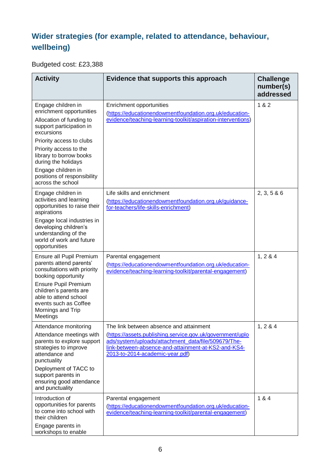#### **Wider strategies (for example, related to attendance, behaviour, wellbeing)**

Budgeted cost: £23,388

| <b>Activity</b>                                                                                                                                                                                                                                                                                        | <b>Challenge</b><br>number(s)<br>addressed                                                                                                                                                                                                            |             |
|--------------------------------------------------------------------------------------------------------------------------------------------------------------------------------------------------------------------------------------------------------------------------------------------------------|-------------------------------------------------------------------------------------------------------------------------------------------------------------------------------------------------------------------------------------------------------|-------------|
| Engage children in<br>enrichment opportunities<br>Allocation of funding to<br>support participation in<br>excursions<br>Priority access to clubs<br>Priority access to the<br>library to borrow books<br>during the holidays<br>Engage children in<br>positions of responsibility<br>across the school | Enrichment opportunities<br>(https://educationendowmentfoundation.org.uk/education-<br>evidence/teaching-learning-toolkit/aspiration-interventions)                                                                                                   | 1 & 2       |
| Engage children in<br>activities and learning<br>opportunities to raise their<br>aspirations<br>Engage local industries in<br>developing children's<br>understanding of the<br>world of work and future<br>opportunities                                                                               | Life skills and enrichment<br>(https://educationendowmentfoundation.org.uk/guidance-<br>for-teachers/life-skills-enrichment)                                                                                                                          | 2, 3, 5 & 6 |
| Ensure all Pupil Premium<br>parents attend parents'<br>consultations with priority<br>booking opportunity<br><b>Ensure Pupil Premium</b><br>children's parents are<br>able to attend school<br>events such as Coffee<br>Mornings and Trip<br>Meetings                                                  | Parental engagement<br>(https://educationendowmentfoundation.org.uk/education-<br>evidence/teaching-learning-toolkit/parental-engagement)                                                                                                             | 1, 284      |
| Attendance monitoring<br>Attendance meetings with<br>parents to explore support<br>strategies to improve<br>attendance and<br>punctuality<br>Deployment of TACC to<br>support parents in<br>ensuring good attendance<br>and punctuality                                                                | The link between absence and attainment<br>(https://assets.publishing.service.gov.uk/government/uplo<br>ads/system/uploads/attachment_data/file/509679/The-<br>link-between-absence-and-attainment-at-KS2-and-KS4-<br>2013-to-2014-academic-year.pdf) | 1, 284      |
| Introduction of<br>opportunities for parents<br>to come into school with<br>their children<br>Engage parents in<br>workshops to enable                                                                                                                                                                 | Parental engagement<br>(https://educationendowmentfoundation.org.uk/education-<br>evidence/teaching-learning-toolkit/parental-engagement)                                                                                                             | 1 & 4       |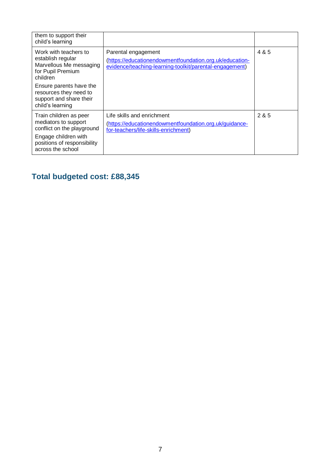| them to support their<br>child's learning                                                                                           |                                                                                                                                           |       |
|-------------------------------------------------------------------------------------------------------------------------------------|-------------------------------------------------------------------------------------------------------------------------------------------|-------|
| Work with teachers to<br>establish regular<br>Marvellous Me messaging<br>for Pupil Premium<br>children                              | Parental engagement<br>(https://educationendowmentfoundation.org.uk/education-<br>evidence/teaching-learning-toolkit/parental-engagement) | 4 & 5 |
| Ensure parents have the<br>resources they need to<br>support and share their<br>child's learning                                    |                                                                                                                                           |       |
| Train children as peer<br>mediators to support<br>conflict on the playground<br>Engage children with<br>positions of responsibility | Life skills and enrichment<br>(https://educationendowmentfoundation.org.uk/guidance-<br>for-teachers/life-skills-enrichment)              | 285   |
| across the school                                                                                                                   |                                                                                                                                           |       |

## **Total budgeted cost: £88,345**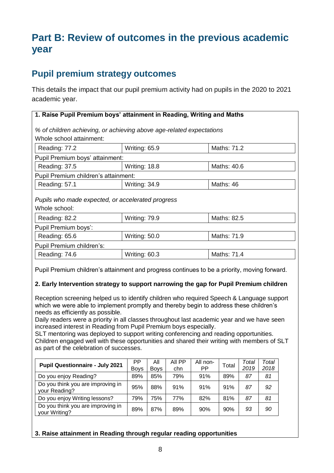# **Part B: Review of outcomes in the previous academic year**

#### **Pupil premium strategy outcomes**

This details the impact that our pupil premium activity had on pupils in the 2020 to 2021 academic year.

| 1. Raise Pupil Premium boys' attainment in Reading, Writing and Maths |               |             |
|-----------------------------------------------------------------------|---------------|-------------|
| % of children achieving, or achieving above age-related expectations  |               |             |
| Whole school attainment:                                              |               |             |
| Reading: 77.2                                                         | Writing: 65.9 | Maths: 71.2 |
| Pupil Premium boys' attainment:                                       |               |             |
| Reading: 37.5                                                         | Writing: 18.8 | Maths: 40.6 |
| Pupil Premium children's attainment:                                  |               |             |
| Reading: 57.1                                                         | Writing: 34.9 | Maths: 46   |
| Pupils who made expected, or accelerated progress<br>Whole school:    |               |             |
| Reading: 82.2                                                         | Writing: 79.9 | Maths: 82.5 |
| Pupil Premium boys':                                                  |               |             |
| Reading: 65.6                                                         | Writing: 50.0 | Maths: 71.9 |
| Pupil Premium children's:                                             |               |             |
| Reading: 74.6                                                         | Writing: 60.3 | Maths: 71.4 |

Pupil Premium children's attainment and progress continues to be a priority, moving forward.

#### **2. Early Intervention strategy to support narrowing the gap for Pupil Premium children**

Reception screening helped us to identify children who required Speech & Language support which we were able to implement promptly and thereby begin to address these children's needs as efficiently as possible.

Daily readers were a priority in all classes throughout last academic year and we have seen increased interest in Reading from Pupil Premium boys especially.

SLT mentoring was deployed to support writing conferencing and reading opportunities. Children engaged well with these opportunities and shared their writing with members of SLT as part of the celebration of successes.

| <b>Pupil Questionnaire - July 2021</b>             | PP          | Αll         | AII PP | All non- | Total | Total | Total |
|----------------------------------------------------|-------------|-------------|--------|----------|-------|-------|-------|
|                                                    | <b>Boys</b> | <b>Bovs</b> | chn    | РP       |       | 2019  | 2018  |
| Do you enjoy Reading?                              | 89%         | 85%         | 79%    | 91%      | 89%   | 87    | 81    |
| Do you think you are improving in<br>your Reading? | 95%         | 88%         | 91%    | 91%      | 91%   | 87    | 92    |
| Do you enjoy Writing lessons?                      | 79%         | 75%         | 77%    | 82%      | 81%   | 87    | 81    |
| Do you think you are improving in<br>your Writing? | 89%         | 87%         | 89%    | 90%      | 90%   | 93    | 90    |

#### **3. Raise attainment in Reading through regular reading opportunities**